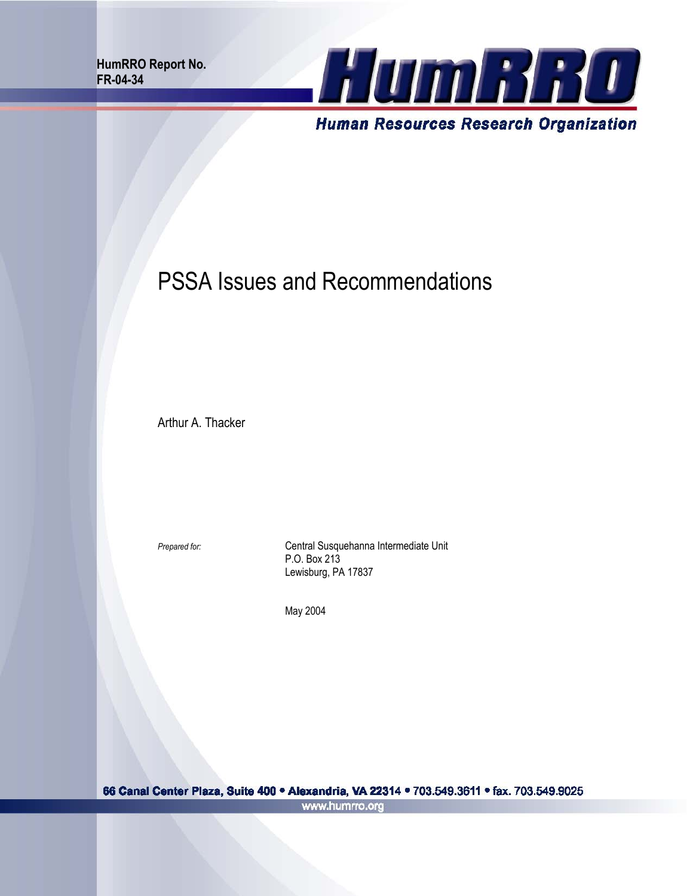**HumRRO Report No. FR-04-34** 



# PSSA Issues and Recommendations

Arthur A. Thacker

**Prepared for: Central Susquehanna Intermediate Unit** P.O. Box 213 Lewisburg, PA 17837

May 2004

66 Canal Center Plaza, Suite 400 · Alexandria, VA 22314 · 703.549.3611 · fax. 703.549.9025 www.humrro.org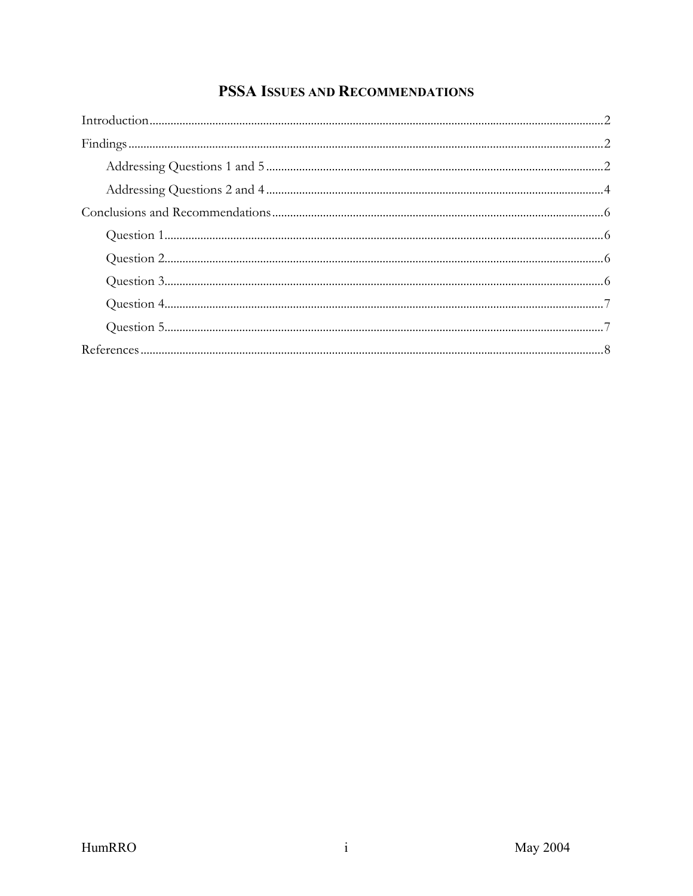## PSSA ISSUES AND RECOMMENDATIONS

| $Introduction                            2$ |  |
|---------------------------------------------|--|
|                                             |  |
|                                             |  |
|                                             |  |
|                                             |  |
|                                             |  |
|                                             |  |
|                                             |  |
|                                             |  |
|                                             |  |
|                                             |  |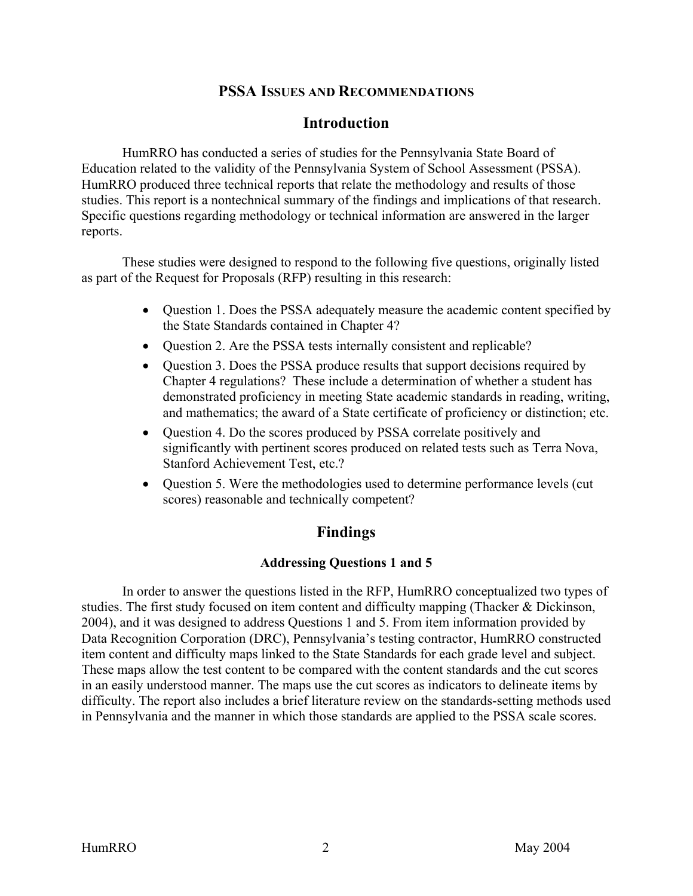#### **PSSA ISSUES AND RECOMMENDATIONS**

#### **Introduction**

<span id="page-3-0"></span>HumRRO has conducted a series of studies for the Pennsylvania State Board of Education related to the validity of the Pennsylvania System of School Assessment (PSSA). HumRRO produced three technical reports that relate the methodology and results of those studies. This report is a nontechnical summary of the findings and implications of that research. Specific questions regarding methodology or technical information are answered in the larger reports.

These studies were designed to respond to the following five questions, originally listed as part of the Request for Proposals (RFP) resulting in this research:

- Question 1. Does the PSSA adequately measure the academic content specified by the State Standards contained in Chapter 4?
- Question 2. Are the PSSA tests internally consistent and replicable?
- Question 3. Does the PSSA produce results that support decisions required by Chapter 4 regulations? These include a determination of whether a student has demonstrated proficiency in meeting State academic standards in reading, writing, and mathematics; the award of a State certificate of proficiency or distinction; etc.
- Question 4. Do the scores produced by PSSA correlate positively and significantly with pertinent scores produced on related tests such as Terra Nova, Stanford Achievement Test, etc.?
- Question 5. Were the methodologies used to determine performance levels (cut) scores) reasonable and technically competent?

## **Findings**

#### **Addressing Questions 1 and 5**

In order to answer the questions listed in the RFP, HumRRO conceptualized two types of studies. The first study focused on item content and difficulty mapping (Thacker & Dickinson, 2004), and it was designed to address Questions 1 and 5. From item information provided by Data Recognition Corporation (DRC), Pennsylvania's testing contractor, HumRRO constructed item content and difficulty maps linked to the State Standards for each grade level and subject. These maps allow the test content to be compared with the content standards and the cut scores in an easily understood manner. The maps use the cut scores as indicators to delineate items by difficulty. The report also includes a brief literature review on the standards-setting methods used in Pennsylvania and the manner in which those standards are applied to the PSSA scale scores.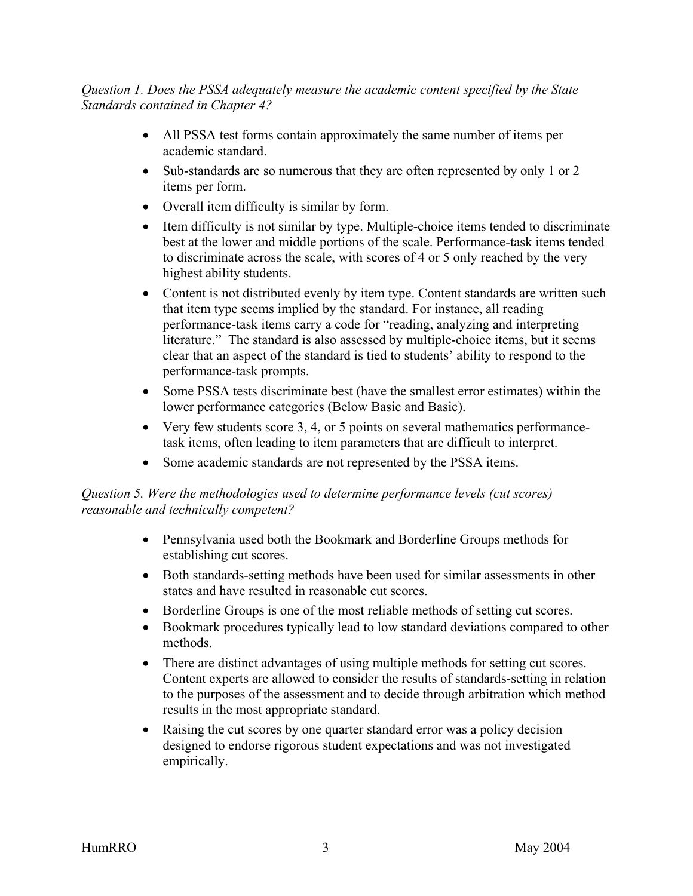*Question 1. Does the PSSA adequately measure the academic content specified by the State Standards contained in Chapter 4?* 

- All PSSA test forms contain approximately the same number of items per academic standard.
- Sub-standards are so numerous that they are often represented by only 1 or 2 items per form.
- Overall item difficulty is similar by form.
- Item difficulty is not similar by type. Multiple-choice items tended to discriminate best at the lower and middle portions of the scale. Performance-task items tended to discriminate across the scale, with scores of 4 or 5 only reached by the very highest ability students.
- Content is not distributed evenly by item type. Content standards are written such that item type seems implied by the standard. For instance, all reading performance-task items carry a code for "reading, analyzing and interpreting literature." The standard is also assessed by multiple-choice items, but it seems clear that an aspect of the standard is tied to students' ability to respond to the performance-task prompts.
- Some PSSA tests discriminate best (have the smallest error estimates) within the lower performance categories (Below Basic and Basic).
- Very few students score 3, 4, or 5 points on several mathematics performancetask items, often leading to item parameters that are difficult to interpret.
- Some academic standards are not represented by the PSSA items.

#### *Question 5. Were the methodologies used to determine performance levels (cut scores) reasonable and technically competent?*

- Pennsylvania used both the Bookmark and Borderline Groups methods for establishing cut scores.
- Both standards-setting methods have been used for similar assessments in other states and have resulted in reasonable cut scores.
- Borderline Groups is one of the most reliable methods of setting cut scores.
- Bookmark procedures typically lead to low standard deviations compared to other methods.
- There are distinct advantages of using multiple methods for setting cut scores. Content experts are allowed to consider the results of standards-setting in relation to the purposes of the assessment and to decide through arbitration which method results in the most appropriate standard.
- Raising the cut scores by one quarter standard error was a policy decision designed to endorse rigorous student expectations and was not investigated empirically.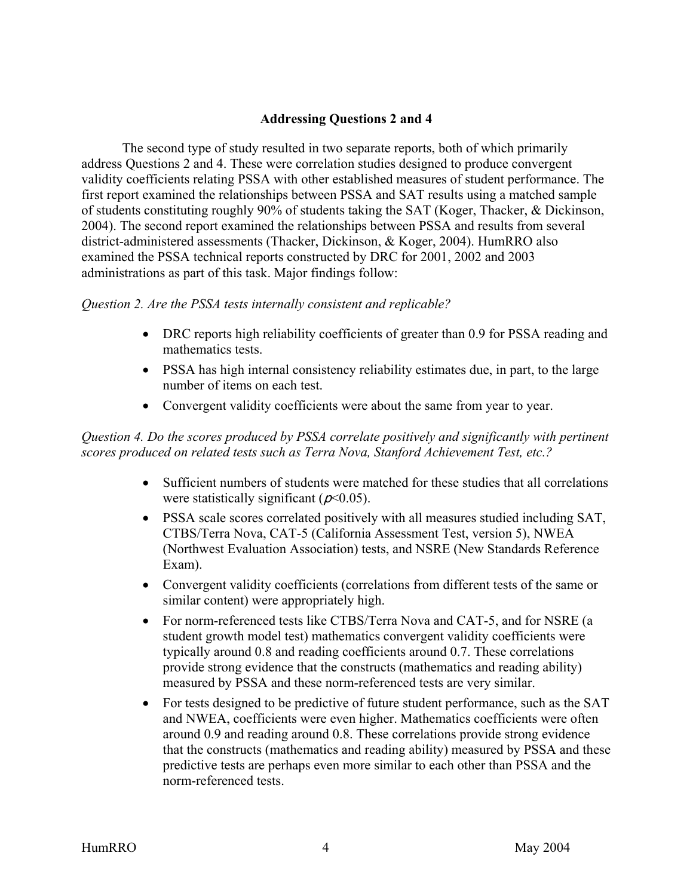#### **Addressing Questions 2 and 4**

<span id="page-5-0"></span>The second type of study resulted in two separate reports, both of which primarily address Questions 2 and 4. These were correlation studies designed to produce convergent validity coefficients relating PSSA with other established measures of student performance. The first report examined the relationships between PSSA and SAT results using a matched sample of students constituting roughly 90% of students taking the SAT (Koger, Thacker, & Dickinson, 2004). The second report examined the relationships between PSSA and results from several district-administered assessments (Thacker, Dickinson, & Koger, 2004). HumRRO also examined the PSSA technical reports constructed by DRC for 2001, 2002 and 2003 administrations as part of this task. Major findings follow:

#### *Question 2. Are the PSSA tests internally consistent and replicable?*

- DRC reports high reliability coefficients of greater than 0.9 for PSSA reading and mathematics tests.
- PSSA has high internal consistency reliability estimates due, in part, to the large number of items on each test.
- Convergent validity coefficients were about the same from year to year.

#### *Question 4. Do the scores produced by PSSA correlate positively and significantly with pertinent scores produced on related tests such as Terra Nova, Stanford Achievement Test, etc.?*

- Sufficient numbers of students were matched for these studies that all correlations were statistically significant ( $p<0.05$ ).
- PSSA scale scores correlated positively with all measures studied including SAT, CTBS/Terra Nova, CAT-5 (California Assessment Test, version 5), NWEA (Northwest Evaluation Association) tests, and NSRE (New Standards Reference Exam).
- Convergent validity coefficients (correlations from different tests of the same or similar content) were appropriately high.
- For norm-referenced tests like CTBS/Terra Nova and CAT-5, and for NSRE (a student growth model test) mathematics convergent validity coefficients were typically around 0.8 and reading coefficients around 0.7. These correlations provide strong evidence that the constructs (mathematics and reading ability) measured by PSSA and these norm-referenced tests are very similar.
- For tests designed to be predictive of future student performance, such as the SAT and NWEA, coefficients were even higher. Mathematics coefficients were often around 0.9 and reading around 0.8. These correlations provide strong evidence that the constructs (mathematics and reading ability) measured by PSSA and these predictive tests are perhaps even more similar to each other than PSSA and the norm-referenced tests.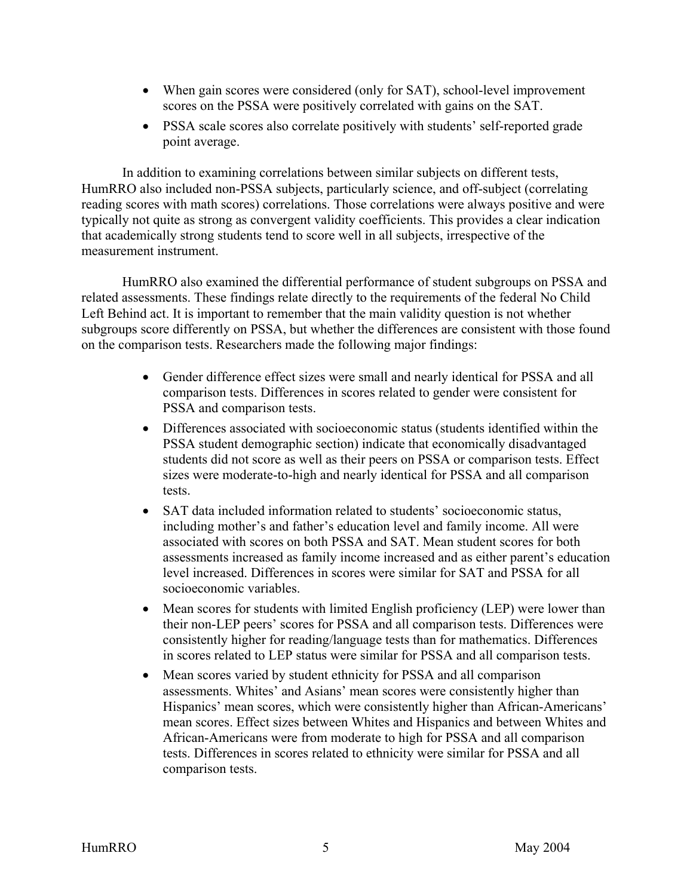- When gain scores were considered (only for SAT), school-level improvement scores on the PSSA were positively correlated with gains on the SAT.
- PSSA scale scores also correlate positively with students' self-reported grade point average.

In addition to examining correlations between similar subjects on different tests, HumRRO also included non-PSSA subjects, particularly science, and off-subject (correlating reading scores with math scores) correlations. Those correlations were always positive and were typically not quite as strong as convergent validity coefficients. This provides a clear indication that academically strong students tend to score well in all subjects, irrespective of the measurement instrument.

HumRRO also examined the differential performance of student subgroups on PSSA and related assessments. These findings relate directly to the requirements of the federal No Child Left Behind act. It is important to remember that the main validity question is not whether subgroups score differently on PSSA, but whether the differences are consistent with those found on the comparison tests. Researchers made the following major findings:

- Gender difference effect sizes were small and nearly identical for PSSA and all comparison tests. Differences in scores related to gender were consistent for PSSA and comparison tests.
- Differences associated with socioeconomic status (students identified within the PSSA student demographic section) indicate that economically disadvantaged students did not score as well as their peers on PSSA or comparison tests. Effect sizes were moderate-to-high and nearly identical for PSSA and all comparison tests.
- SAT data included information related to students' socioeconomic status, including mother's and father's education level and family income. All were associated with scores on both PSSA and SAT. Mean student scores for both assessments increased as family income increased and as either parent's education level increased. Differences in scores were similar for SAT and PSSA for all socioeconomic variables.
- Mean scores for students with limited English proficiency (LEP) were lower than their non-LEP peers' scores for PSSA and all comparison tests. Differences were consistently higher for reading/language tests than for mathematics. Differences in scores related to LEP status were similar for PSSA and all comparison tests.
- Mean scores varied by student ethnicity for PSSA and all comparison assessments. Whites' and Asians' mean scores were consistently higher than Hispanics' mean scores, which were consistently higher than African-Americans' mean scores. Effect sizes between Whites and Hispanics and between Whites and African-Americans were from moderate to high for PSSA and all comparison tests. Differences in scores related to ethnicity were similar for PSSA and all comparison tests.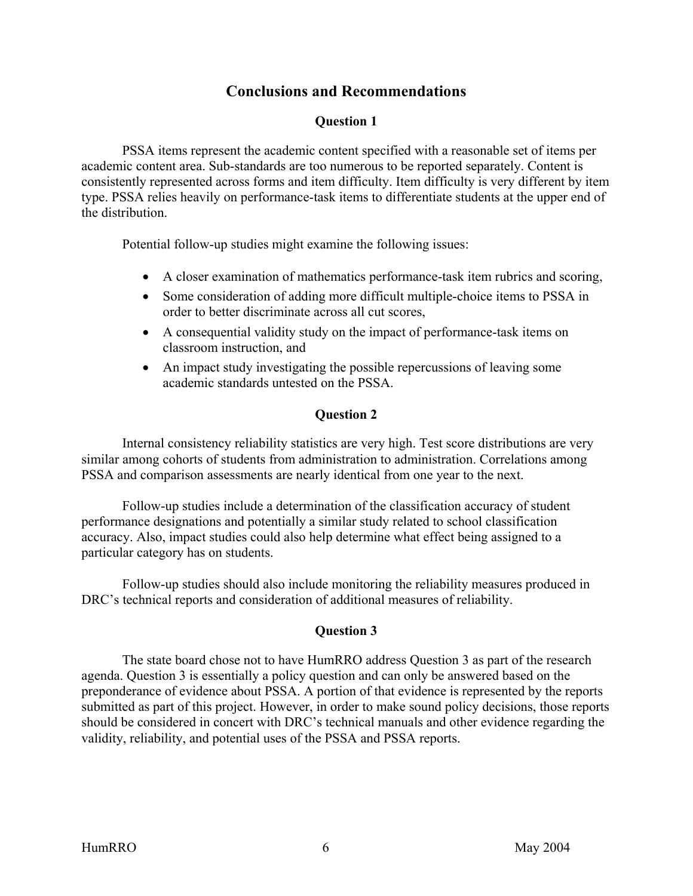## **Conclusions and Recommendations**

#### **Question 1**

<span id="page-7-0"></span>PSSA items represent the academic content specified with a reasonable set of items per academic content area. Sub-standards are too numerous to be reported separately. Content is consistently represented across forms and item difficulty. Item difficulty is very different by item type. PSSA relies heavily on performance-task items to differentiate students at the upper end of the distribution.

Potential follow-up studies might examine the following issues:

- A closer examination of mathematics performance-task item rubrics and scoring,
- Some consideration of adding more difficult multiple-choice items to PSSA in order to better discriminate across all cut scores,
- A consequential validity study on the impact of performance-task items on classroom instruction, and
- An impact study investigating the possible repercussions of leaving some academic standards untested on the PSSA.

#### **Question 2**

Internal consistency reliability statistics are very high. Test score distributions are very similar among cohorts of students from administration to administration. Correlations among PSSA and comparison assessments are nearly identical from one year to the next.

Follow-up studies include a determination of the classification accuracy of student performance designations and potentially a similar study related to school classification accuracy. Also, impact studies could also help determine what effect being assigned to a particular category has on students.

Follow-up studies should also include monitoring the reliability measures produced in DRC's technical reports and consideration of additional measures of reliability.

#### **Question 3**

The state board chose not to have HumRRO address Question 3 as part of the research agenda. Question 3 is essentially a policy question and can only be answered based on the preponderance of evidence about PSSA. A portion of that evidence is represented by the reports submitted as part of this project. However, in order to make sound policy decisions, those reports should be considered in concert with DRC's technical manuals and other evidence regarding the validity, reliability, and potential uses of the PSSA and PSSA reports.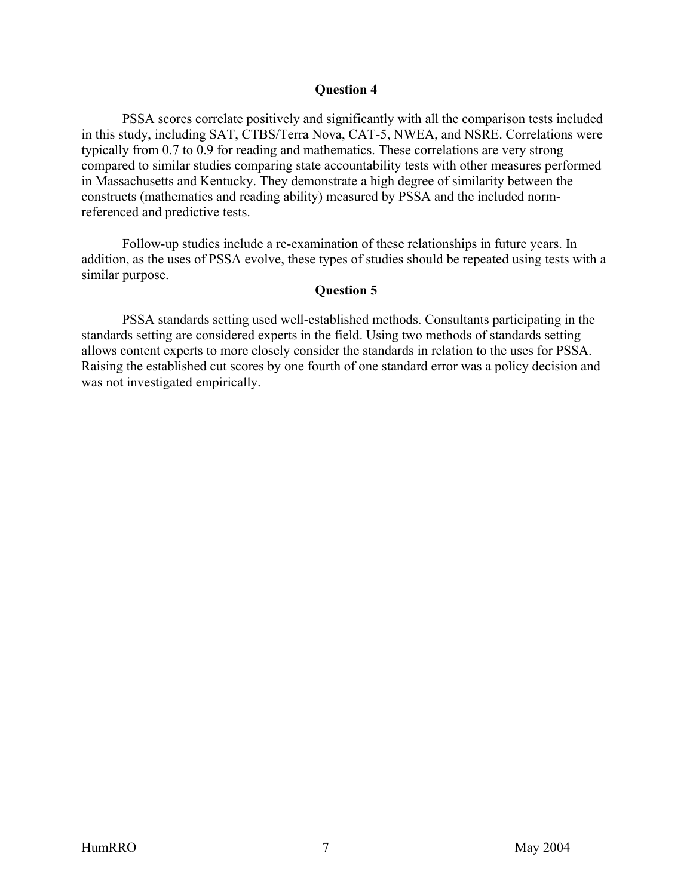#### **Question 4**

<span id="page-8-0"></span>PSSA scores correlate positively and significantly with all the comparison tests included in this study, including SAT, CTBS/Terra Nova, CAT-5, NWEA, and NSRE. Correlations were typically from 0.7 to 0.9 for reading and mathematics. These correlations are very strong compared to similar studies comparing state accountability tests with other measures performed in Massachusetts and Kentucky. They demonstrate a high degree of similarity between the constructs (mathematics and reading ability) measured by PSSA and the included normreferenced and predictive tests.

Follow-up studies include a re-examination of these relationships in future years. In addition, as the uses of PSSA evolve, these types of studies should be repeated using tests with a similar purpose.

#### **Question 5**

PSSA standards setting used well-established methods. Consultants participating in the standards setting are considered experts in the field. Using two methods of standards setting allows content experts to more closely consider the standards in relation to the uses for PSSA. Raising the established cut scores by one fourth of one standard error was a policy decision and was not investigated empirically.